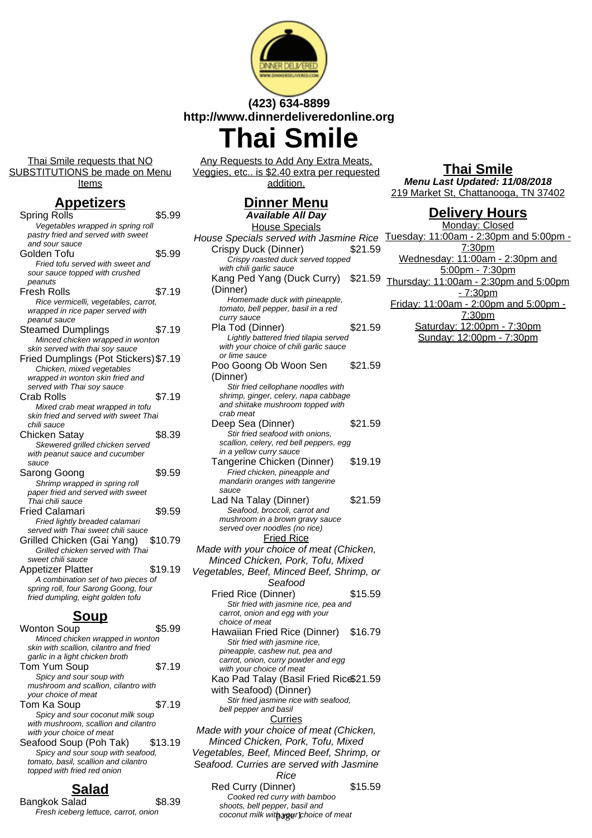

## **(423) 634-8899 http://www.dinnerdeliveredonline.org**

# **Thai Smile**

Thai Smile requests that NO SUBSTITUTIONS be made on Menu

Items

### **Appetizers**

| Spring Rolls                                                               | \$5.99  |
|----------------------------------------------------------------------------|---------|
| Vegetables wrapped in spring roll                                          |         |
| pastry fried and served with sweet                                         |         |
| and sour sauce                                                             |         |
| Golden Tofu                                                                | \$5.99  |
| Fried tofu served with sweet and                                           |         |
| sour sauce topped with crushed                                             |         |
| peanuts                                                                    |         |
| Fresh Rolls                                                                | \$7.19  |
| Rice vermicelli, vegetables, carrot,                                       |         |
| wrapped in rice paper served with                                          |         |
| peanut sauce                                                               |         |
| <b>Steamed Dumplings</b>                                                   | \$7.19  |
| Minced chicken wrapped in wonton                                           |         |
| skin served with thai soy sauce                                            |         |
| Fried Dumplings (Pot Stickers) \$7.19                                      |         |
| Chicken, mixed vegetables                                                  |         |
| wrapped in wonton skin fried and                                           |         |
| served with Thai soy sauce                                                 |         |
| <b>Crab Rolls</b>                                                          | \$7.19  |
| Mixed crab meat wrapped in tofu                                            |         |
| skin fried and served with sweet Thai                                      |         |
| chili sauce                                                                |         |
| Chicken Satay                                                              | \$8.39  |
| Skewered grilled chicken served                                            |         |
| with peanut sauce and cucumber                                             |         |
| sauce                                                                      |         |
| Sarong Goong                                                               | \$9.59  |
| Shrimp wrapped in spring roll                                              |         |
| paper fried and served with sweet<br>Thai chili sauce                      |         |
|                                                                            |         |
| <b>Fried Calamari</b>                                                      | \$9.59  |
| Fried lightly breaded calamari                                             |         |
| served with Thai sweet chili sauce                                         |         |
| Grilled Chicken (Gai Yang)                                                 | \$10.79 |
| Grilled chicken served with Thai                                           |         |
| sweet chili sauce                                                          |         |
| <b>Appetizer Platter</b>                                                   | \$19.19 |
| A combination set of two pieces of                                         |         |
| spring roll, four Sarong Goong, four                                       |         |
| fried dumpling, eight golden tofu                                          |         |
| <u>Soup</u>                                                                |         |
|                                                                            | \$5.99  |
| <b>Wonton Soup</b>                                                         |         |
| Minced chicken wrapped in wonton<br>skin with scallion, cilantro and fried |         |
| garlic in a light chicken broth                                            |         |
| Tom Yum Soun-                                                              | \$7 19  |

| Tom Yum Soup                         | \$7.19  |
|--------------------------------------|---------|
| Spicy and sour soup with             |         |
| mushroom and scallion, cilantro with |         |
| your choice of meat                  |         |
| Tom Ka Soup                          | \$7.19  |
| Spicy and sour coconut milk soup     |         |
| with mushroom, scallion and cilantro |         |
| with your choice of meat             |         |
| Seafood Soup (Poh Tak)               | \$13.19 |
| Spicy and sour soup with seafood,    |         |
| tomato, basil, scallion and cilantro |         |
| topped with fried red onion          |         |

## **Salad**

Bangkok Salad \$8.39 Fresh iceberg lettuce, carrot, onion

Any Requests to Add Any Extra Meats, Veggies, etc.. is \$2.40 extra per requested addition.

| <u>Dinner Menu</u><br><b>Available All Day</b>                  |         |
|-----------------------------------------------------------------|---------|
|                                                                 |         |
| <b>House Specials</b>                                           |         |
| House Specials served with Jasmine Rice.                        |         |
| Crispy Duck (Dinner)                                            | \$21.59 |
| Crispy roasted duck served topped                               |         |
| with chili garlic sauce                                         |         |
| Kang Ped Yang (Duck Curry)                                      | \$21.59 |
| (Dinner)                                                        |         |
| Homemade duck with pineapple,                                   |         |
| tomato, bell pepper, basil in a red<br>curry sauce              |         |
| Pla Tod (Dinner)                                                | \$21.59 |
| Lightly battered fried tilapia served                           |         |
| with your choice of chili garlic sauce                          |         |
| or lime sauce                                                   |         |
| Poo Goong Ob Woon Sen                                           | \$21.59 |
| (Dinner)                                                        |         |
| Stir fried cellophane noodles with                              |         |
| shrimp, ginger, celery, napa cabbage                            |         |
| and shiitake mushroom topped with                               |         |
| crab meat                                                       |         |
| Deep Sea (Dinner)                                               | \$21.59 |
| Stir fried seafood with onions,                                 |         |
| scallion, celery, red bell peppers, egg                         |         |
| in a yellow curry sauce                                         |         |
| Tangerine Chicken (Dinner)                                      | \$19.19 |
| Fried chicken, pineapple and<br>mandarin oranges with tangerine |         |
| sauce                                                           |         |
| Lad Na Talay (Dinner)                                           | \$21.59 |
| Seafood, broccoli, carrot and                                   |         |
| mushroom in a brown gravy sauce                                 |         |
| served over noodles (no rice)                                   |         |
| <u>Fried Rice</u>                                               |         |
| Made with your choice of meat (Chicken,                         |         |
| Minced Chicken, Pork, Tofu, Mixed                               |         |
| Vegetables, Beef, Minced Beef, Shrimp, or                       |         |
| Seafood                                                         |         |
| Fried Rice (Dinner)                                             | \$15.59 |
| Stir fried with jasmine rice, pea and                           |         |
| carrot, onion and egg with your                                 |         |
| choice of meat                                                  |         |
| Hawaiian Fried Rice (Dinner)                                    | \$16.79 |
| Stir fried with jasmine rice,                                   |         |
| pineapple, cashew nut, pea and                                  |         |
| carrot, onion, curry powder and egg                             |         |
| with your choice of meat                                        |         |
| Kao Pad Talay (Basil Fried Rice\$21.59                          |         |
| with Seafood) (Dinner)                                          |         |
| Stir fried jasmine rice with seafood,                           |         |
| bell pepper and basil                                           |         |
| Curries                                                         |         |
| Made with your choice of meat (Chicken,                         |         |
| Minced Chicken, Pork, Tofu, Mixed                               |         |
| Vegetables, Beef, Minced Beef, Shrimp, or                       |         |
| Seafood. Curries are served with Jasmine                        |         |
| Rice                                                            |         |
| Red Curry (Dinner)                                              | \$15.59 |
| Cooked red curry with bamboo                                    |         |

shoots, bell pepper, basil and coconut milk with your choice of meat **Thai Smile**

**Menu Last Updated: 11/08/2018** 219 Market St, Chattanooga, TN 37402

## **Delivery Hours**

Monday: Closed Tuesday: 11:00am - 2:30pm and 5:00pm - 7:30pm Wednesday: 11:00am - 2:30pm and 5:00pm - 7:30pm Thursday: 11:00am - 2:30pm and 5:00pm - 7:30pm Friday: 11:00am - 2:00pm and 5:00pm - 7:30pm Saturday: 12:00pm - 7:30pm Sunday: 12:00pm - 7:30pm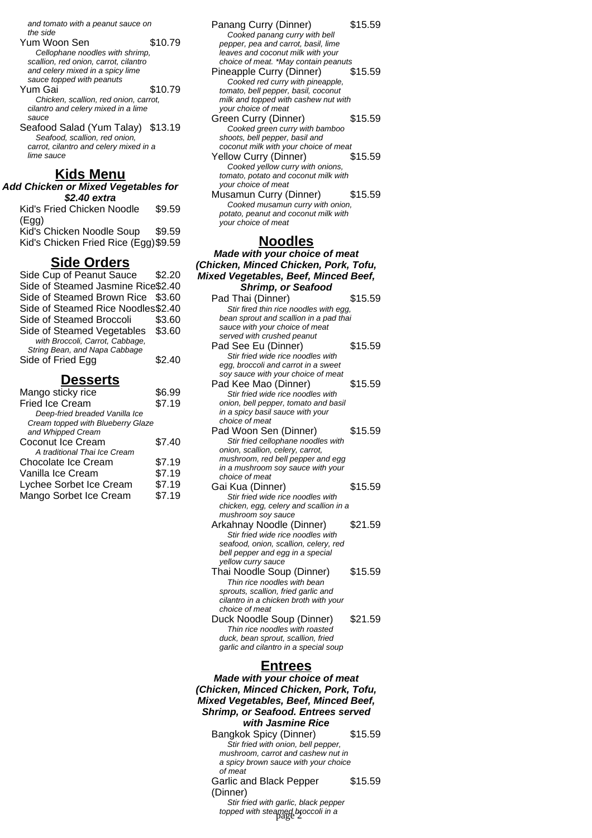and tomato with a peanut sauce on the side

- Yum Woon Sen \$10.79 Cellophane noodles with shrimp, scallion, red onion, carrot, cilantro and celery mixed in a spicy lime sauce topped with peanuts
- Yum Gai \$10.79 Chicken, scallion, red onion, carrot, cilantro and celery mixed in a lime sauce
- Seafood Salad (Yum Talay) \$13.19 Seafood, scallion, red onion carrot, cilantro and celery mixed in a lime sauce

#### **Kids Menu**

**Add Chicken or Mixed Vegetables for \$2.40 extra** Kid's Fried Chicken Noodle \$9.59

(Egg) Kid's Chicken Noodle Soup \$9.59 Kid's Chicken Fried Rice (Egg)\$9.59

#### **Side Orders**

| Side Cup of Peanut Sauce           | \$2.20 |
|------------------------------------|--------|
| Side of Steamed Jasmine Rice\$2.40 |        |
| Side of Steamed Brown Rice \$3.60  |        |
| Side of Steamed Rice Noodles\$2.40 |        |
| Side of Steamed Broccoli           | \$3.60 |
| Side of Steamed Vegetables         | \$3.60 |
| with Broccoli, Carrot, Cabbage,    |        |
| String Bean, and Napa Cabbage      |        |
| Side of Fried Egg                  | \$2.40 |
|                                    |        |

#### **Desserts**

| Mango sticky rice                 | \$6.99 |
|-----------------------------------|--------|
| <b>Fried Ice Cream</b>            | \$7.19 |
| Deep-fried breaded Vanilla Ice    |        |
| Cream topped with Blueberry Glaze |        |
| and Whipped Cream                 |        |
| Coconut Ice Cream                 | \$7.40 |
| A traditional Thai Ice Cream      |        |
| Chocolate Ice Cream               | \$7.19 |
| Vanilla Ice Cream                 | \$7.19 |
| Lychee Sorbet Ice Cream           | \$7.19 |
| Mango Sorbet Ice Cream            | \$7.19 |
|                                   |        |

- Panang Curry (Dinner) \$15.59 Cooked panang curry with bell pepper, pea and carrot, basil, lime leaves and coconut milk with your choice of meat. \*May contain peanuts Pineapple Curry (Dinner) \$15.59 Cooked red curry with pineapple, tomato, bell pepper, basil, coconut milk and topped with cashew nut with your choice of meat Green Curry (Dinner) \$15.59 Cooked green curry with bamboo shoots, bell pepper, basil and coconut milk with your choice of meat Yellow Curry (Dinner) \$15.59 Cooked yellow curry with onions, tomato, potato and coconut milk with your choice of meat Musamun Curry (Dinner) \$15.59 Cooked musamun curry with onion,
- potato, peanut and coconut milk with your choice of meat

#### **Noodles**

**Made with your choice of meat (Chicken, Minced Chicken, Pork, Tofu, Mixed Vegetables, Beef, Minced Beef, Shrimp, or Seafood** Pad Thai (Dinner) \$15.59 Stir fired thin rice noodles with egg, bean sprout and scallion in a pad thai sauce with your choice of meat served with crushed peanut Pad See Eu (Dinner) \$15.59 Stir fried wide rice noodles with egg, broccoli and carrot in a sweet soy sauce with your choice of meat Pad Kee Mao (Dinner) \$15.59 Stir fried wide rice noodles with onion, bell pepper, tomato and basil in a spicy basil sauce with your choice of meat Pad Woon Sen (Dinner) \$15.59 Stir fried cellophane noodles with onion, scallion, celery, carrot, mushroom, red bell pepper and egg in a mushroom soy sauce with your choice of meat Gai Kua (Dinner) \$15.59 Stir fried wide rice noodles with chicken, egg, celery and scallion in a mushroom soy sauce Arkahnay Noodle (Dinner) \$21.59 Stir fried wide rice noodles with seafood, onion, scallion, celery, red bell pepper and egg in a special yellow curry sauce Thai Noodle Soup (Dinner) \$15.59 Thin rice noodles with bean sprouts, scallion, fried garlic and cilantro in a chicken broth with your choice of meat Duck Noodle Soup (Dinner) \$21.59 Thin rice noodles with roasted duck, bean sprout, scallion, fried garlic and cilantro in a special soup

#### **Entrees**

**Made with your choice of meat (Chicken, Minced Chicken, Pork, Tofu, Mixed Vegetables, Beef, Minced Beef, Shrimp, or Seafood. Entrees served with Jasmine Rice**

Bangkok Spicy (Dinner) \$15.59 Stir fried with onion, bell pepper, mushroom, carrot and cashew nut in a spicy brown sauce with your choice of meat \$15.59

Garlic and Black Pepper (Dinner)

Stir fried with garlic, black pepper topped with steamed broccoli in a